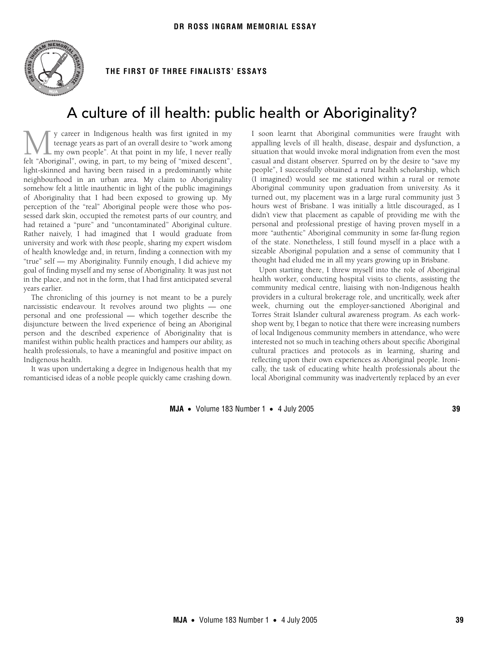

## **THE FIRST OF THREE FINALISTS' ESSAYS**

# A culture of ill health: public health or Aboriginality?

y career in Indigenous health was first ignited in my teenage years as part of an overall desire to "work among  $\mathbb L$  my own people". At that point in my life, I never really Musical in my teenage years as part of an overall desire to "work among my own people". At that point in my life, I never really felt "Aboriginal", owing, in part, to my being of "mixed descent", light-skinned and having been raised in a predominantly white neighbourhood in an urban area. My claim to Aboriginality somehow felt a little inauthentic in light of the public imaginings of Aboriginality that I had been exposed to growing up. My perception of the "real" Aboriginal people were those who possessed dark skin, occupied the remotest parts of our country, and had retained a "pure" and "uncontaminated" Aboriginal culture. Rather naively, I had imagined that I would graduate from university and work with *those* people, sharing my expert wisdom of health knowledge and, in return, finding a connection with my "true" self — my Aboriginality. Funnily enough, I did achieve my goal of finding myself and my sense of Aboriginality. It was just not in the place, and not in the form, that I had first anticipated several years earlier.

The chronicling of this journey is not meant to be a purely narcissistic endeavour. It revolves around two plights — one personal and one professional — which together describe the disjuncture between the lived experience of being an Aboriginal person and the described experience of Aboriginality that is manifest within public health practices and hampers our ability, as health professionals, to have a meaningful and positive impact on Indigenous health.

It was upon undertaking a degree in Indigenous health that my romanticised ideas of a noble people quickly came crashing down. I soon learnt that Aboriginal communities were fraught with appalling levels of ill health, disease, despair and dysfunction, a situation that would invoke moral indignation from even the most casual and distant observer. Spurred on by the desire to "save my people", I successfully obtained a rural health scholarship, which (I imagined) would see me stationed within a rural or remote Aboriginal community upon graduation from university. As it turned out, my placement was in a large rural community just 3 hours west of Brisbane. I was initially a little discouraged, as I didn't view that placement as capable of providing me with the personal and professional prestige of having proven myself in a more "authentic" Aboriginal community in some far-flung region of the state. Nonetheless, I still found myself in a place with a sizeable Aboriginal population and a sense of community that I thought had eluded me in all my years growing up in Brisbane.

Upon starting there, I threw myself into the role of Aboriginal health worker, conducting hospital visits to clients, assisting the community medical centre, liaising with non-Indigenous health providers in a cultural brokerage role, and uncritically, week after week, churning out the employer-sanctioned Aboriginal and Torres Strait Islander cultural awareness program. As each workshop went by, I began to notice that there were increasing numbers of local Indigenous community members in attendance, who were interested not so much in teaching others about specific Aboriginal cultural practices and protocols as in learning, sharing and reflecting upon their own experiences as Aboriginal people. Ironically, the task of educating white health professionals about the local Aboriginal community was inadvertently replaced by an ever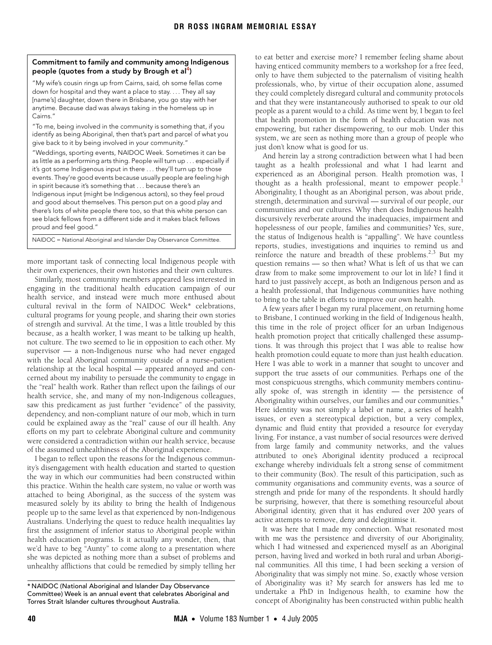#### <span id="page-1-0"></span>**Commitment to family and community among Indigenous people (quotes from a study by Brough et al[4](#page-2-0))**

"My wife's cousin rings up from Cairns, said, oh some fellas come down for hospital and they want a place to stay. . . . They all say [name's] daughter, down there in Brisbane, you go stay with her anytime. Because dad was always taking in the homeless up in Cairns."

"To me, being involved in the community is something that, if you identify as being Aboriginal, then that's part and parcel of what you give back to it by being involved in your community."

"Weddings, sporting events, NAIDOC Week. Sometimes it can be as little as a performing arts thing. People will turn up . . . especially if it's got some Indigenous input in there . . . they'll turn up to those events. They're good events because usually people are feeling high in spirit because it's something that . . . because there's an Indigenous input (might be Indigenous actors), so they feel proud and good about themselves. This person put on a good play and there's lots of white people there too, so that this white person can see black fellows from a different side and it makes black fellows proud and feel good."

NAIDOC = National Aboriginal and Islander Day Observance Committee.

more important task of connecting local Indigenous people with their own experiences, their own histories and their own cultures.

Similarly, most community members appeared less interested in engaging in the traditional health education campaign of our health service, and instead were much more enthused about cultural revival in the form of NAIDOC Week\* celebrations, cultural programs for young people, and sharing their own stories of strength and survival. At the time, I was a little troubled by this because, as a health worker, I was meant to be talking up health, not culture. The two seemed to lie in opposition to each other. My supervisor — a non-Indigenous nurse who had never engaged with the local Aboriginal community outside of a nurse–patient relationship at the local hospital — appeared annoyed and concerned about my inability to persuade the community to engage in the "real" health work. Rather than reflect upon the failings of our health service, she, and many of my non-Indigenous colleagues, saw this predicament as just further "evidence" of the passivity, dependency, and non-compliant nature of our mob, which in turn could be explained away as the "real" cause of our ill health. Any efforts on my part to celebrate Aboriginal culture and community were considered a contradiction within our health service, because of the assumed unhealthiness of the Aboriginal experience.

I began to reflect upon the reasons for the Indigenous community's disengagement with health education and started to question the way in which our communities had been constructed within this practice. Within the health care system, no value or worth was attached to being Aboriginal, as the success of the system was measured solely by its ability to bring the health of Indigenous people up to the same level as that experienced by non-Indigenous Australians. Underlying the quest to reduce health inequalities lay first the assignment of inferior status to Aboriginal people within health education programs. Is it actually any wonder, then, that we'd have to beg "Aunty" to come along to a presentation where she was depicted as nothing more than a subset of problems and unhealthy afflictions that could be remedied by simply telling her

to eat better and exercise more? I remember feeling shame about having enticed community members to a workshop for a free feed, only to have them subjected to the paternalism of visiting health professionals, who, by virtue of their occupation alone, assumed they could completely disregard cultural and community protocols and that they were instantaneously authorised to speak to our old people as a parent would to a child. As time went by, I began to feel that health promotion in the form of health education was not empowering, but rather disempowering, to our mob. Under this system, we are seen as nothing more than a group of people who just don't know what is good for us.

And herein lay a strong contradiction between what I had been taught as a health professional and what I had learnt and experienced as an Aboriginal person. Health promotion was, I thought as a health professional, meant to empower people.<sup>[1](#page-2-1)</sup> Aboriginality, I thought as an Aboriginal person, was about pride, strength, determination and survival — survival of our people, our communities and our cultures. Why then does Indigenous health discursively reverberate around the inadequacies, impairment and hopelessness of our people, families and communities? Yes, sure, the status of Indigenous health is "appalling". We have countless reports, studies, investigations and inquiries to remind us and reinforce the nature and breadth of these problems.<sup>2,[3](#page-2-3)</sup> But my question remains — so then what? What is left of us that we can draw from to make some improvement to our lot in life? I find it hard to just passively accept, as both an Indigenous person and as a health professional, that Indigenous communities have nothing to bring to the table in efforts to improve our own health.

A few years after I began my rural placement, on returning home to Brisbane, I continued working in the field of Indigenous health, this time in the role of project officer for an urban Indigenous health promotion project that critically challenged these assumptions. It was through this project that I was able to realise how health promotion could equate to more than just health education. Here I was able to work in a manner that sought to uncover and support the true assets of our communities. Perhaps one of the most conspicuous strengths, which community members continually spoke of, was strength in identity — the persistence of Aboriginality within ourselves, our families and our communities.<sup>[4](#page-2-0)</sup> Here identity was not simply a label or name, a series of health issues, or even a stereotypical depiction, but a very complex, dynamic and fluid entity that provided a resource for everyday living. For instance, a vast number of social resources were derived from large family and community networks, and the values attributed to one's Aboriginal identity produced a reciprocal exchange whereby individuals felt a strong sense of commitment to their community [\(Box](#page-1-0)). The result of this participation, such as community organisations and community events, was a source of strength and pride for many of the respondents. It should hardly be surprising, however, that there is something resourceful about Aboriginal identity, given that it has endured over 200 years of active attempts to remove, deny and delegitimise it.

It was here that I made my connection. What resonated most with me was the persistence and diversity of our Aboriginality, which I had witnessed and experienced myself as an Aboriginal person, having lived and worked in both rural and urban Aboriginal communities. All this time, I had been seeking a version of Aboriginality that was simply not mine. So, exactly whose version of Aboriginality was it? My search for answers has led me to undertake a PhD in Indigenous health, to examine how the concept of Aboriginality has been constructed within public health

<sup>\*</sup> NAIDOC (National Aboriginal and Islander Day Observance Committee) Week is an annual event that celebrates Aboriginal and Torres Strait Islander cultures throughout Australia.